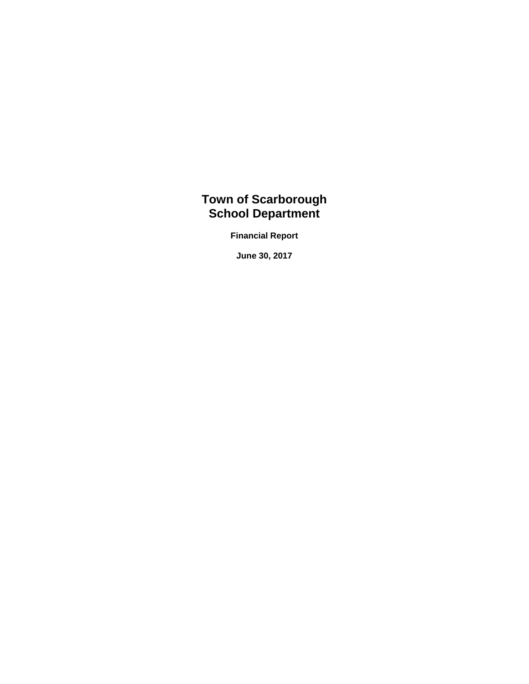# **Town of Scarborough School Department**

**Financial Report**

**June 30, 2017**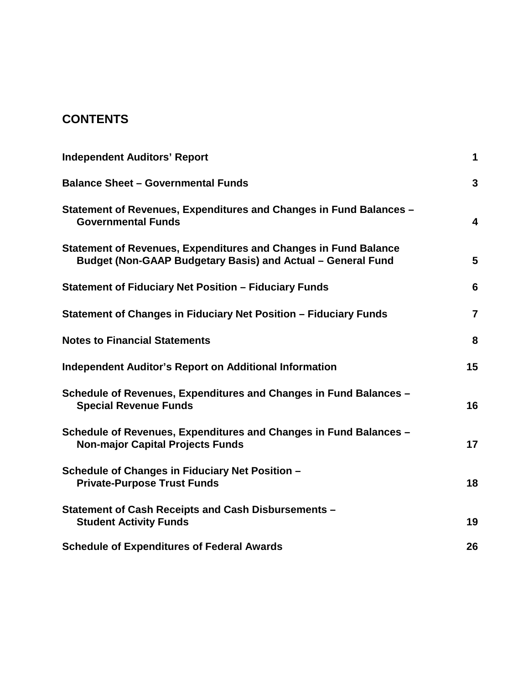# **CONTENTS**

| <b>Independent Auditors' Report</b>                                                                                                   | 1              |
|---------------------------------------------------------------------------------------------------------------------------------------|----------------|
| <b>Balance Sheet - Governmental Funds</b>                                                                                             | $\mathbf{3}$   |
| Statement of Revenues, Expenditures and Changes in Fund Balances -<br><b>Governmental Funds</b>                                       | 4              |
| <b>Statement of Revenues, Expenditures and Changes in Fund Balance</b><br>Budget (Non-GAAP Budgetary Basis) and Actual - General Fund | 5              |
| <b>Statement of Fiduciary Net Position - Fiduciary Funds</b>                                                                          | 6              |
| Statement of Changes in Fiduciary Net Position - Fiduciary Funds                                                                      | $\overline{7}$ |
| <b>Notes to Financial Statements</b>                                                                                                  | 8              |
| <b>Independent Auditor's Report on Additional Information</b>                                                                         | 15             |
| Schedule of Revenues, Expenditures and Changes in Fund Balances -<br><b>Special Revenue Funds</b>                                     | 16             |
| Schedule of Revenues, Expenditures and Changes in Fund Balances -<br><b>Non-major Capital Projects Funds</b>                          | 17             |
| Schedule of Changes in Fiduciary Net Position -<br><b>Private-Purpose Trust Funds</b>                                                 | 18             |
| <b>Statement of Cash Receipts and Cash Disbursements -</b><br><b>Student Activity Funds</b>                                           | 19             |
| <b>Schedule of Expenditures of Federal Awards</b>                                                                                     | 26             |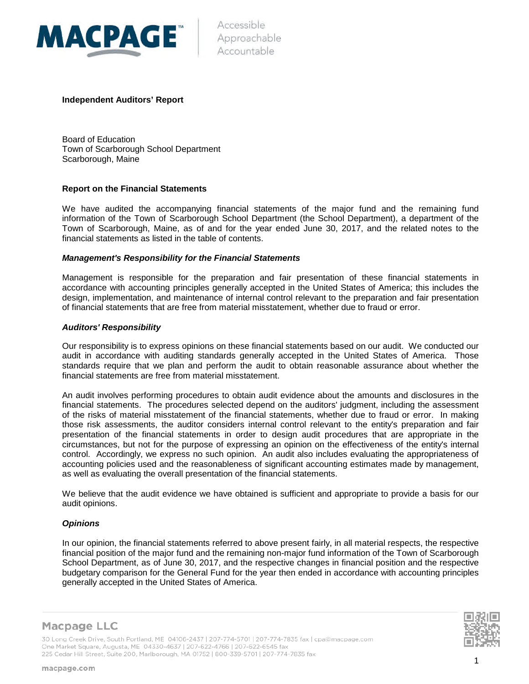

Accessible Approachable Accountable

#### **Independent Auditors' Report**

Board of Education Town of Scarborough School Department Scarborough, Maine

#### **Report on the Financial Statements**

We have audited the accompanying financial statements of the major fund and the remaining fund information of the Town of Scarborough School Department (the School Department), a department of the Town of Scarborough, Maine, as of and for the year ended June 30, 2017, and the related notes to the financial statements as listed in the table of contents.

#### *Management's Responsibility for the Financial Statements*

Management is responsible for the preparation and fair presentation of these financial statements in accordance with accounting principles generally accepted in the United States of America; this includes the design, implementation, and maintenance of internal control relevant to the preparation and fair presentation of financial statements that are free from material misstatement, whether due to fraud or error.

#### *Auditors' Responsibility*

Our responsibility is to express opinions on these financial statements based on our audit. We conducted our audit in accordance with auditing standards generally accepted in the United States of America. Those standards require that we plan and perform the audit to obtain reasonable assurance about whether the financial statements are free from material misstatement.

An audit involves performing procedures to obtain audit evidence about the amounts and disclosures in the financial statements. The procedures selected depend on the auditors' judgment, including the assessment of the risks of material misstatement of the financial statements, whether due to fraud or error. In making those risk assessments, the auditor considers internal control relevant to the entity's preparation and fair presentation of the financial statements in order to design audit procedures that are appropriate in the circumstances, but not for the purpose of expressing an opinion on the effectiveness of the entity's internal control. Accordingly, we express no such opinion. An audit also includes evaluating the appropriateness of accounting policies used and the reasonableness of significant accounting estimates made by management, as well as evaluating the overall presentation of the financial statements.

We believe that the audit evidence we have obtained is sufficient and appropriate to provide a basis for our audit opinions.

#### *Opinions*

In our opinion, the financial statements referred to above present fairly, in all material respects, the respective financial position of the major fund and the remaining non-major fund information of the Town of Scarborough School Department, as of June 30, 2017, and the respective changes in financial position and the respective budgetary comparison for the General Fund for the year then ended in accordance with accounting principles generally accepted in the United States of America.

# Macpage LLC

30 Long Creek Drive, South Portland, ME 04106-2437 | 207-774-5701 | 207-774-7835 fax | cpa@macpage.com One Market Square, Augusta, ME 04330-4637 | 207-622-4766 | 207-622-6545 fax 225 Cedar Hill Street, Suite 200, Marlborough, MA 01752 | 800-339-5701 | 207-774-7835 fax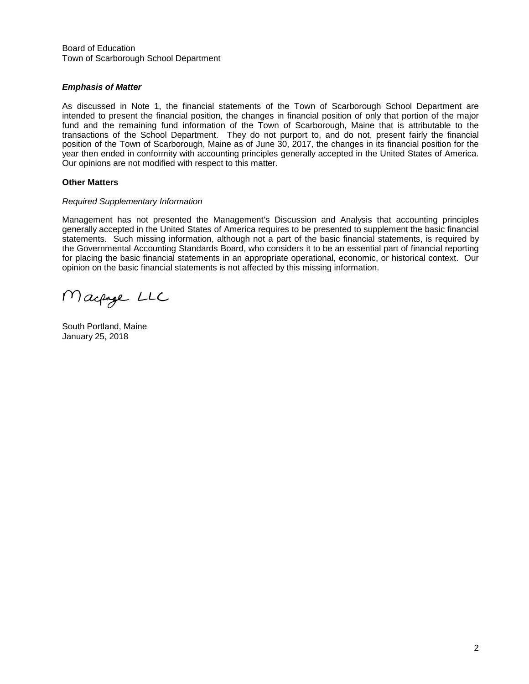Board of Education Town of Scarborough School Department

#### *Emphasis of Matter*

As discussed in Note 1, the financial statements of the Town of Scarborough School Department are intended to present the financial position, the changes in financial position of only that portion of the major fund and the remaining fund information of the Town of Scarborough, Maine that is attributable to the transactions of the School Department. They do not purport to, and do not, present fairly the financial position of the Town of Scarborough, Maine as of June 30, 2017, the changes in its financial position for the year then ended in conformity with accounting principles generally accepted in the United States of America. Our opinions are not modified with respect to this matter.

### **Other Matters**

#### *Required Supplementary Information*

Management has not presented the Management's Discussion and Analysis that accounting principles generally accepted in the United States of America requires to be presented to supplement the basic financial statements. Such missing information, although not a part of the basic financial statements, is required by the Governmental Accounting Standards Board, who considers it to be an essential part of financial reporting for placing the basic financial statements in an appropriate operational, economic, or historical context. Our opinion on the basic financial statements is not affected by this missing information.

Macpage LLC

South Portland, Maine January 25, 2018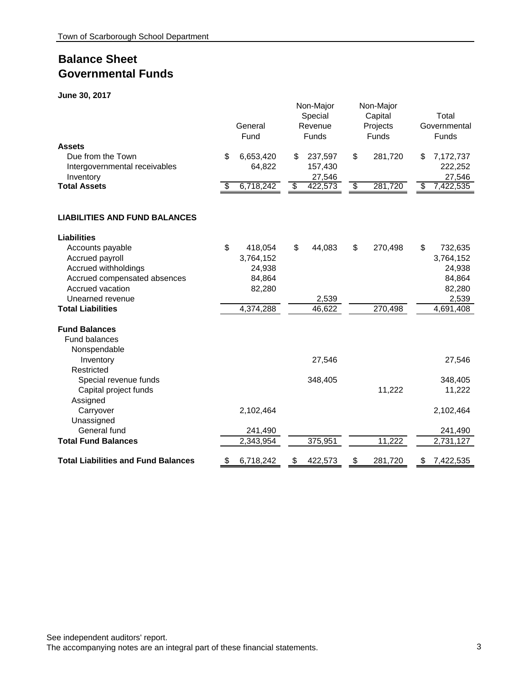# **Balance Sheet Governmental Funds**

**June 30, 2017**

| 00116 JV, LV I I<br><b>Assets</b>                               | General<br>Fund           | Non-Major<br>Special<br>Revenue<br>Funds | Non-Major<br>Capital<br>Projects<br>Funds | Total<br>Governmental<br>Funds       |
|-----------------------------------------------------------------|---------------------------|------------------------------------------|-------------------------------------------|--------------------------------------|
| Due from the Town<br>Intergovernmental receivables<br>Inventory | \$<br>6,653,420<br>64,822 | \$<br>237,597<br>157,430<br>27,546       | \$<br>281,720                             | \$<br>7,172,737<br>222,252<br>27,546 |
| <b>Total Assets</b>                                             | \$<br>6,718,242           | \$<br>422,573                            | \$<br>281,720                             | \$<br>7,422,535                      |
| <b>LIABILITIES AND FUND BALANCES</b>                            |                           |                                          |                                           |                                      |
| <b>Liabilities</b>                                              | \$<br>418,054             | \$<br>44,083                             | \$<br>270,498                             | \$<br>732,635                        |
| Accounts payable<br>Accrued payroll                             | 3,764,152                 |                                          |                                           | 3,764,152                            |
| Accrued withholdings                                            | 24,938                    |                                          |                                           | 24,938                               |
| Accrued compensated absences                                    | 84,864                    |                                          |                                           | 84,864                               |
| Accrued vacation                                                | 82,280                    |                                          |                                           | 82,280                               |
| Unearned revenue                                                |                           | 2,539                                    |                                           | 2,539                                |
| <b>Total Liabilities</b>                                        | 4,374,288                 | 46,622                                   | 270,498                                   | 4,691,408                            |
| <b>Fund Balances</b>                                            |                           |                                          |                                           |                                      |
| <b>Fund balances</b>                                            |                           |                                          |                                           |                                      |
| Nonspendable                                                    |                           |                                          |                                           |                                      |
| Inventory<br>Restricted                                         |                           | 27,546                                   |                                           | 27,546                               |
| Special revenue funds                                           |                           | 348,405                                  |                                           | 348,405                              |
| Capital project funds                                           |                           |                                          | 11,222                                    | 11,222                               |
| Assigned                                                        |                           |                                          |                                           |                                      |
| Carryover                                                       | 2,102,464                 |                                          |                                           | 2,102,464                            |
| Unassigned                                                      |                           |                                          |                                           |                                      |
| General fund                                                    | 241,490                   |                                          |                                           | 241,490                              |
| <b>Total Fund Balances</b>                                      | 2,343,954                 | 375,951                                  | 11,222                                    | 2,731,127                            |
| <b>Total Liabilities and Fund Balances</b>                      | \$<br>6,718,242           | \$<br>422,573                            | \$<br>281,720                             | \$<br>7,422,535                      |

See independent auditors' report. The accompanying notes are an integral part of these financial statements. 3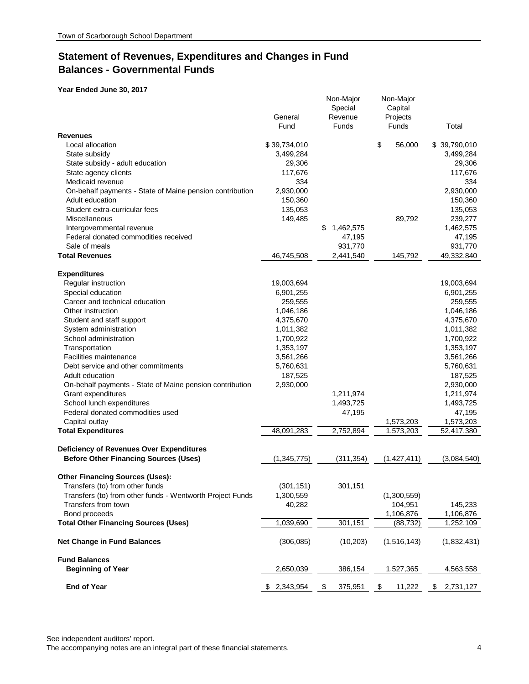# **Statement of Revenues, Expenditures and Changes in Fund Balances - Governmental Funds**

**Year Ended June 30, 2017**

|                                                           | General<br>Fund | Non-Major<br>Special<br>Revenue<br><b>Funds</b> | Non-Major<br>Capital<br>Projects<br><b>Funds</b> | Total           |
|-----------------------------------------------------------|-----------------|-------------------------------------------------|--------------------------------------------------|-----------------|
| <b>Revenues</b>                                           |                 |                                                 |                                                  |                 |
| Local allocation                                          | \$39,734,010    |                                                 | \$<br>56,000                                     | \$39,790,010    |
| State subsidy                                             | 3,499,284       |                                                 |                                                  | 3,499,284       |
| State subsidy - adult education                           | 29,306          |                                                 |                                                  | 29,306          |
| State agency clients                                      | 117,676         |                                                 |                                                  | 117,676         |
| Medicaid revenue                                          | 334             |                                                 |                                                  | 334             |
| On-behalf payments - State of Maine pension contribution  | 2,930,000       |                                                 |                                                  | 2,930,000       |
| Adult education                                           | 150,360         |                                                 |                                                  | 150,360         |
| Student extra-curricular fees                             | 135,053         |                                                 |                                                  | 135,053         |
| Miscellaneous                                             | 149,485         |                                                 | 89,792                                           | 239,277         |
| Intergovernmental revenue                                 |                 | \$<br>1,462,575                                 |                                                  | 1,462,575       |
| Federal donated commodities received                      |                 | 47,195                                          |                                                  | 47,195          |
| Sale of meals                                             |                 | 931,770                                         |                                                  | 931,770         |
| <b>Total Revenues</b>                                     | 46,745,508      | 2,441,540                                       | 145,792                                          | 49,332,840      |
| <b>Expenditures</b>                                       |                 |                                                 |                                                  |                 |
| Regular instruction                                       | 19,003,694      |                                                 |                                                  | 19,003,694      |
| Special education                                         | 6,901,255       |                                                 |                                                  | 6,901,255       |
| Career and technical education                            | 259,555         |                                                 |                                                  | 259,555         |
| Other instruction                                         | 1,046,186       |                                                 |                                                  | 1,046,186       |
| Student and staff support                                 | 4,375,670       |                                                 |                                                  | 4,375,670       |
| System administration                                     | 1,011,382       |                                                 |                                                  | 1,011,382       |
| School administration                                     | 1,700,922       |                                                 |                                                  | 1,700,922       |
| Transportation                                            | 1,353,197       |                                                 |                                                  | 1,353,197       |
| <b>Facilities maintenance</b>                             | 3,561,266       |                                                 |                                                  | 3,561,266       |
| Debt service and other commitments                        | 5,760,631       |                                                 |                                                  | 5,760,631       |
| Adult education                                           | 187,525         |                                                 |                                                  | 187,525         |
| On-behalf payments - State of Maine pension contribution  | 2,930,000       |                                                 |                                                  | 2,930,000       |
| Grant expenditures                                        |                 | 1,211,974                                       |                                                  | 1,211,974       |
| School lunch expenditures                                 |                 | 1,493,725                                       |                                                  | 1,493,725       |
| Federal donated commodities used                          |                 | 47,195                                          |                                                  | 47,195          |
| Capital outlay                                            |                 |                                                 | 1,573,203                                        | 1,573,203       |
| <b>Total Expenditures</b>                                 | 48,091,283      | 2,752,894                                       | 1,573,203                                        | 52,417,380      |
| <b>Deficiency of Revenues Over Expenditures</b>           |                 |                                                 |                                                  |                 |
| <b>Before Other Financing Sources (Uses)</b>              | (1, 345, 775)   | (311, 354)                                      | (1,427,411)                                      | (3,084,540)     |
|                                                           |                 |                                                 |                                                  |                 |
| <b>Other Financing Sources (Uses):</b>                    |                 |                                                 |                                                  |                 |
| Transfers (to) from other funds                           | (301, 151)      | 301,151                                         |                                                  |                 |
| Transfers (to) from other funds - Wentworth Project Funds | 1,300,559       |                                                 | (1,300,559)                                      |                 |
| Transfers from town                                       | 40,282          |                                                 | 104,951                                          | 145,233         |
| Bond proceeds                                             |                 |                                                 | 1,106,876                                        | 1,106,876       |
| <b>Total Other Financing Sources (Uses)</b>               | 1,039,690       | 301,151                                         | (88, 732)                                        | 1,252,109       |
| <b>Net Change in Fund Balances</b>                        | (306, 085)      | (10, 203)                                       | (1,516,143)                                      | (1,832,431)     |
| <b>Fund Balances</b>                                      |                 |                                                 |                                                  |                 |
| <b>Beginning of Year</b>                                  | 2,650,039       | 386,154                                         | 1,527,365                                        | 4,563,558       |
| <b>End of Year</b>                                        | 2,343,954<br>S. | 375,951<br>\$                                   | \$<br>11,222                                     | S.<br>2,731,127 |

See independent auditors' report.

The accompanying notes are an integral part of these financial statements. 4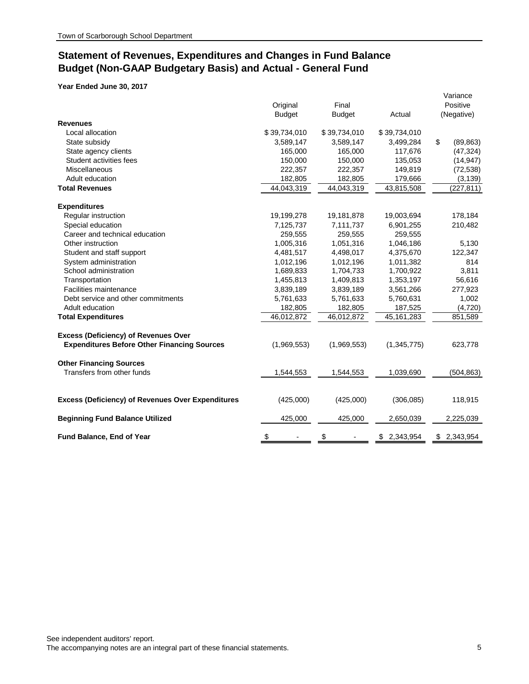# **Statement of Revenues, Expenditures and Changes in Fund Balance Budget (Non-GAAP Budgetary Basis) and Actual - General Fund**

|                                                          | Original<br><b>Budget</b> | Final<br><b>Budget</b> | Actual               | Variance<br>Positive<br>(Negative) |
|----------------------------------------------------------|---------------------------|------------------------|----------------------|------------------------------------|
| <b>Revenues</b><br>Local allocation                      |                           |                        |                      |                                    |
|                                                          | \$39,734,010              | \$39,734,010           | \$39,734,010         | \$                                 |
| State subsidy                                            | 3,589,147<br>165,000      | 3,589,147<br>165,000   | 3,499,284<br>117,676 | (89, 863)                          |
| State agency clients<br>Student activities fees          | 150,000                   | 150,000                | 135,053              | (47, 324)<br>(14, 947)             |
| <b>Miscellaneous</b>                                     | 222,357                   | 222,357                | 149,819              | (72, 538)                          |
| Adult education                                          | 182,805                   | 182,805                | 179,666              | (3, 139)                           |
| <b>Total Revenues</b>                                    | 44,043,319                | 44,043,319             | 43,815,508           | (227, 811)                         |
|                                                          |                           |                        |                      |                                    |
| <b>Expenditures</b>                                      |                           |                        |                      |                                    |
| Regular instruction                                      | 19,199,278                | 19,181,878             | 19,003,694           | 178,184                            |
| Special education                                        | 7,125,737                 | 7,111,737              | 6,901,255            | 210,482                            |
| Career and technical education                           | 259,555                   | 259,555                | 259,555              |                                    |
| Other instruction                                        | 1,005,316                 | 1,051,316              | 1,046,186            | 5,130                              |
| Student and staff support                                | 4,481,517                 | 4,498,017              | 4,375,670            | 122,347                            |
| System administration                                    | 1,012,196                 | 1,012,196              | 1,011,382            | 814                                |
| School administration                                    | 1,689,833                 | 1,704,733              | 1,700,922            | 3,811                              |
| Transportation                                           | 1,455,813                 | 1,409,813              | 1,353,197            | 56,616                             |
| Facilities maintenance                                   | 3,839,189                 | 3,839,189              | 3,561,266            | 277,923                            |
| Debt service and other commitments                       | 5,761,633                 | 5,761,633              | 5,760,631            | 1,002                              |
| Adult education                                          | 182,805                   | 182,805                | 187,525              | (4, 720)                           |
| <b>Total Expenditures</b>                                | 46,012,872                | 46,012,872             | 45, 161, 283         | 851,589                            |
| <b>Excess (Deficiency) of Revenues Over</b>              |                           |                        |                      |                                    |
| <b>Expenditures Before Other Financing Sources</b>       | (1,969,553)               | (1,969,553)            | (1,345,775)          | 623,778                            |
| <b>Other Financing Sources</b>                           |                           |                        |                      |                                    |
| Transfers from other funds                               | 1,544,553                 | 1,544,553              | 1,039,690            | (504,863)                          |
| <b>Excess (Deficiency) of Revenues Over Expenditures</b> | (425,000)                 | (425,000)              | (306, 085)           | 118,915                            |
| <b>Beginning Fund Balance Utilized</b>                   | 425,000                   | 425,000                | 2,650,039            | 2,225,039                          |
| <b>Fund Balance, End of Year</b>                         | \$                        | \$                     | \$2,343,954          | \$2,343,954                        |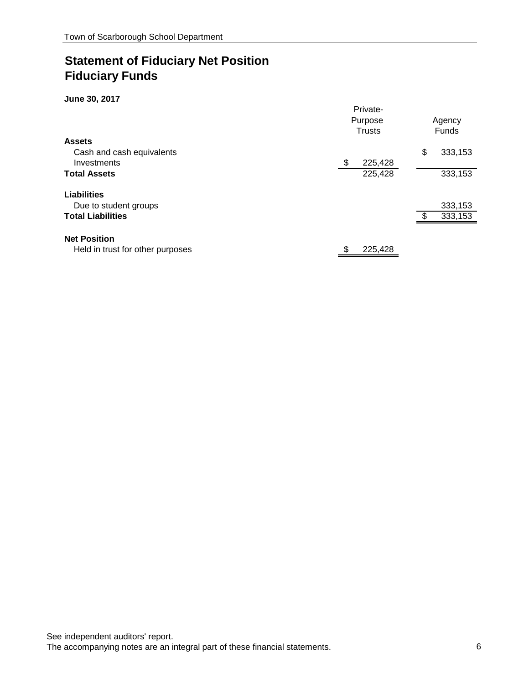# **Statement of Fiduciary Net Position Fiduciary Funds**

### **June 30, 2017**

|                                  | Private-<br>Purpose | Agency        |
|----------------------------------|---------------------|---------------|
|                                  | <b>Trusts</b>       | <b>Funds</b>  |
| <b>Assets</b>                    |                     |               |
| Cash and cash equivalents        |                     | \$<br>333,153 |
| Investments                      | - \$<br>225,428     |               |
| <b>Total Assets</b>              | 225,428             | 333,153       |
| <b>Liabilities</b>               |                     |               |
| Due to student groups            |                     | 333,153       |
| <b>Total Liabilities</b>         |                     | 333,153       |
| <b>Net Position</b>              |                     |               |
| Held in trust for other purposes | 225,428             |               |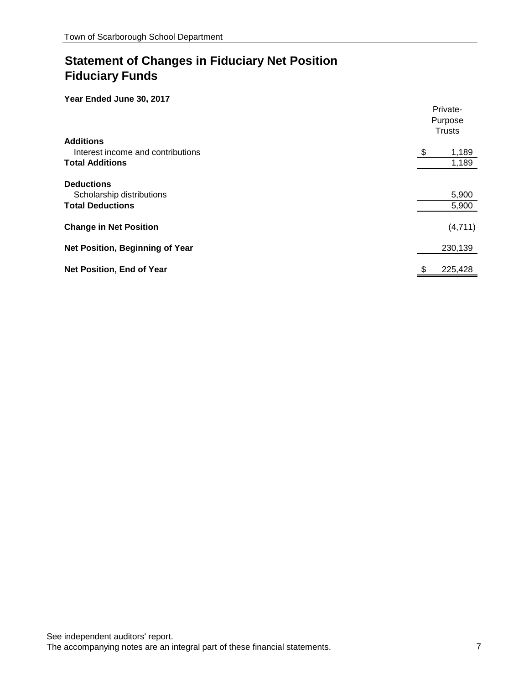# **Statement of Changes in Fiduciary Net Position Fiduciary Funds**

|                                   | Private-<br>Purpose<br><b>Trusts</b> |
|-----------------------------------|--------------------------------------|
| <b>Additions</b>                  |                                      |
| Interest income and contributions | \$<br>1,189                          |
| <b>Total Additions</b>            | 1,189                                |
| <b>Deductions</b>                 |                                      |
| Scholarship distributions         | 5,900                                |
| <b>Total Deductions</b>           | 5,900                                |
| <b>Change in Net Position</b>     | (4,711)                              |
| Net Position, Beginning of Year   | 230,139                              |
| Net Position, End of Year         | 225,428<br>\$                        |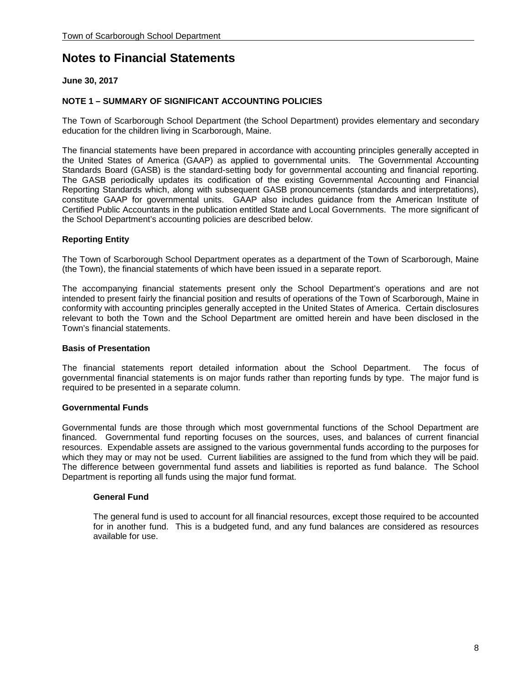## **June 30, 2017**

## **NOTE 1 – SUMMARY OF SIGNIFICANT ACCOUNTING POLICIES**

The Town of Scarborough School Department (the School Department) provides elementary and secondary education for the children living in Scarborough, Maine.

The financial statements have been prepared in accordance with accounting principles generally accepted in the United States of America (GAAP) as applied to governmental units. The Governmental Accounting Standards Board (GASB) is the standard-setting body for governmental accounting and financial reporting. The GASB periodically updates its codification of the existing Governmental Accounting and Financial Reporting Standards which, along with subsequent GASB pronouncements (standards and interpretations), constitute GAAP for governmental units. GAAP also includes guidance from the American Institute of Certified Public Accountants in the publication entitled State and Local Governments. The more significant of the School Department's accounting policies are described below.

## **Reporting Entity**

The Town of Scarborough School Department operates as a department of the Town of Scarborough, Maine (the Town), the financial statements of which have been issued in a separate report.

The accompanying financial statements present only the School Department's operations and are not intended to present fairly the financial position and results of operations of the Town of Scarborough, Maine in conformity with accounting principles generally accepted in the United States of America. Certain disclosures relevant to both the Town and the School Department are omitted herein and have been disclosed in the Town's financial statements.

#### **Basis of Presentation**

The financial statements report detailed information about the School Department. The focus of governmental financial statements is on major funds rather than reporting funds by type. The major fund is required to be presented in a separate column.

#### **Governmental Funds**

Governmental funds are those through which most governmental functions of the School Department are financed. Governmental fund reporting focuses on the sources, uses, and balances of current financial resources. Expendable assets are assigned to the various governmental funds according to the purposes for which they may or may not be used. Current liabilities are assigned to the fund from which they will be paid. The difference between governmental fund assets and liabilities is reported as fund balance. The School Department is reporting all funds using the major fund format.

#### **General Fund**

The general fund is used to account for all financial resources, except those required to be accounted for in another fund. This is a budgeted fund, and any fund balances are considered as resources available for use.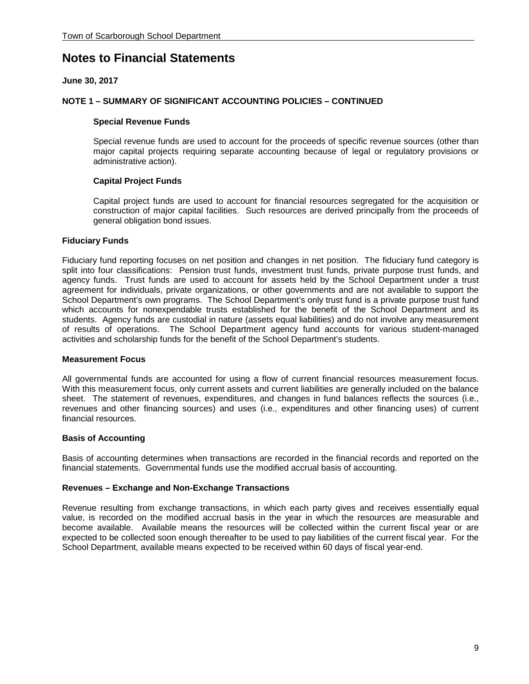## **June 30, 2017**

### **NOTE 1 – SUMMARY OF SIGNIFICANT ACCOUNTING POLICIES – CONTINUED**

#### **Special Revenue Funds**

Special revenue funds are used to account for the proceeds of specific revenue sources (other than major capital projects requiring separate accounting because of legal or regulatory provisions or administrative action).

## **Capital Project Funds**

Capital project funds are used to account for financial resources segregated for the acquisition or construction of major capital facilities. Such resources are derived principally from the proceeds of general obligation bond issues.

### **Fiduciary Funds**

Fiduciary fund reporting focuses on net position and changes in net position. The fiduciary fund category is split into four classifications: Pension trust funds, investment trust funds, private purpose trust funds, and agency funds. Trust funds are used to account for assets held by the School Department under a trust agreement for individuals, private organizations, or other governments and are not available to support the School Department's own programs. The School Department's only trust fund is a private purpose trust fund which accounts for nonexpendable trusts established for the benefit of the School Department and its students. Agency funds are custodial in nature (assets equal liabilities) and do not involve any measurement of results of operations. The School Department agency fund accounts for various student-managed activities and scholarship funds for the benefit of the School Department's students.

#### **Measurement Focus**

All governmental funds are accounted for using a flow of current financial resources measurement focus. With this measurement focus, only current assets and current liabilities are generally included on the balance sheet. The statement of revenues, expenditures, and changes in fund balances reflects the sources (i.e., revenues and other financing sources) and uses (i.e., expenditures and other financing uses) of current financial resources.

#### **Basis of Accounting**

Basis of accounting determines when transactions are recorded in the financial records and reported on the financial statements. Governmental funds use the modified accrual basis of accounting.

#### **Revenues – Exchange and Non-Exchange Transactions**

Revenue resulting from exchange transactions, in which each party gives and receives essentially equal value, is recorded on the modified accrual basis in the year in which the resources are measurable and become available. Available means the resources will be collected within the current fiscal year or are expected to be collected soon enough thereafter to be used to pay liabilities of the current fiscal year. For the School Department, available means expected to be received within 60 days of fiscal year-end.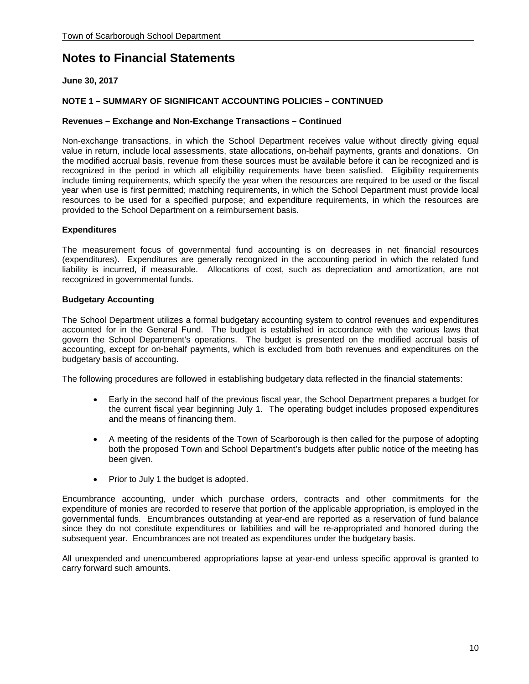## **June 30, 2017**

## **NOTE 1 – SUMMARY OF SIGNIFICANT ACCOUNTING POLICIES – CONTINUED**

### **Revenues – Exchange and Non-Exchange Transactions – Continued**

Non-exchange transactions, in which the School Department receives value without directly giving equal value in return, include local assessments, state allocations, on-behalf payments, grants and donations. On the modified accrual basis, revenue from these sources must be available before it can be recognized and is recognized in the period in which all eligibility requirements have been satisfied. Eligibility requirements include timing requirements, which specify the year when the resources are required to be used or the fiscal year when use is first permitted; matching requirements, in which the School Department must provide local resources to be used for a specified purpose; and expenditure requirements, in which the resources are provided to the School Department on a reimbursement basis.

### **Expenditures**

The measurement focus of governmental fund accounting is on decreases in net financial resources (expenditures). Expenditures are generally recognized in the accounting period in which the related fund liability is incurred, if measurable. Allocations of cost, such as depreciation and amortization, are not recognized in governmental funds.

### **Budgetary Accounting**

The School Department utilizes a formal budgetary accounting system to control revenues and expenditures accounted for in the General Fund. The budget is established in accordance with the various laws that govern the School Department's operations. The budget is presented on the modified accrual basis of accounting, except for on-behalf payments, which is excluded from both revenues and expenditures on the budgetary basis of accounting.

The following procedures are followed in establishing budgetary data reflected in the financial statements:

- Early in the second half of the previous fiscal year, the School Department prepares a budget for the current fiscal year beginning July 1. The operating budget includes proposed expenditures and the means of financing them.
- A meeting of the residents of the Town of Scarborough is then called for the purpose of adopting both the proposed Town and School Department's budgets after public notice of the meeting has been given.
- Prior to July 1 the budget is adopted.

Encumbrance accounting, under which purchase orders, contracts and other commitments for the expenditure of monies are recorded to reserve that portion of the applicable appropriation, is employed in the governmental funds. Encumbrances outstanding at year-end are reported as a reservation of fund balance since they do not constitute expenditures or liabilities and will be re-appropriated and honored during the subsequent year. Encumbrances are not treated as expenditures under the budgetary basis.

All unexpended and unencumbered appropriations lapse at year-end unless specific approval is granted to carry forward such amounts.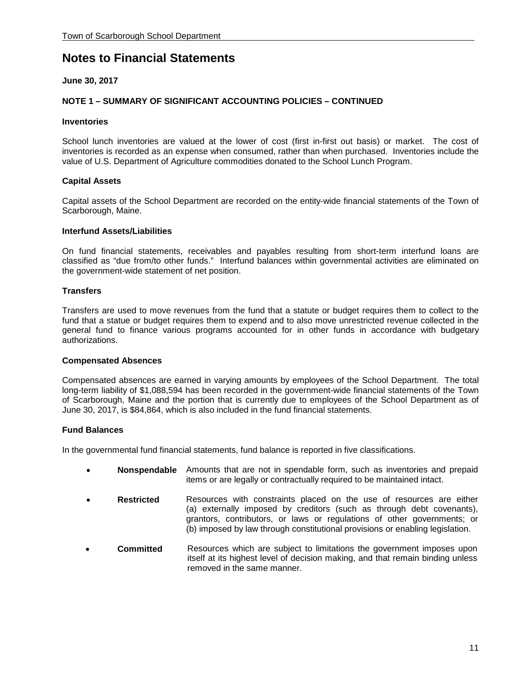## **June 30, 2017**

### **NOTE 1 – SUMMARY OF SIGNIFICANT ACCOUNTING POLICIES – CONTINUED**

#### **Inventories**

School lunch inventories are valued at the lower of cost (first in-first out basis) or market. The cost of inventories is recorded as an expense when consumed, rather than when purchased. Inventories include the value of U.S. Department of Agriculture commodities donated to the School Lunch Program.

### **Capital Assets**

Capital assets of the School Department are recorded on the entity-wide financial statements of the Town of Scarborough, Maine.

#### **Interfund Assets/Liabilities**

On fund financial statements, receivables and payables resulting from short-term interfund loans are classified as "due from/to other funds." Interfund balances within governmental activities are eliminated on the government-wide statement of net position.

### **Transfers**

Transfers are used to move revenues from the fund that a statute or budget requires them to collect to the fund that a statue or budget requires them to expend and to also move unrestricted revenue collected in the general fund to finance various programs accounted for in other funds in accordance with budgetary authorizations.

#### **Compensated Absences**

Compensated absences are earned in varying amounts by employees of the School Department. The total long-term liability of \$1,088,594 has been recorded in the government-wide financial statements of the Town of Scarborough, Maine and the portion that is currently due to employees of the School Department as of June 30, 2017, is \$84,864, which is also included in the fund financial statements.

#### **Fund Balances**

In the governmental fund financial statements, fund balance is reported in five classifications.

- **Nonspendable** Amounts that are not in spendable form, such as inventories and prepaid items or are legally or contractually required to be maintained intact.
- **Restricted** Resources with constraints placed on the use of resources are either (a) externally imposed by creditors (such as through debt covenants), grantors, contributors, or laws or regulations of other governments; or (b) imposed by law through constitutional provisions or enabling legislation.
- **Committed** Resources which are subject to limitations the government imposes upon itself at its highest level of decision making, and that remain binding unless removed in the same manner.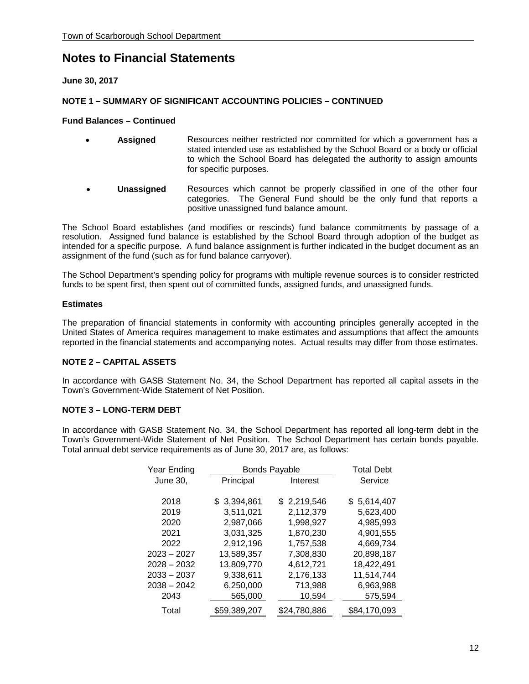**June 30, 2017**

## **NOTE 1 – SUMMARY OF SIGNIFICANT ACCOUNTING POLICIES – CONTINUED**

### **Fund Balances – Continued**

| $\bullet$ | Assigned | Resources neither restricted nor committed for which a government has a<br>stated intended use as established by the School Board or a body or official<br>to which the School Board has delegated the authority to assign amounts<br>for specific purposes. |
|-----------|----------|--------------------------------------------------------------------------------------------------------------------------------------------------------------------------------------------------------------------------------------------------------------|
|           |          |                                                                                                                                                                                                                                                              |

 **Unassigned** Resources which cannot be properly classified in one of the other four categories. The General Fund should be the only fund that reports a positive unassigned fund balance amount.

The School Board establishes (and modifies or rescinds) fund balance commitments by passage of a resolution. Assigned fund balance is established by the School Board through adoption of the budget as intended for a specific purpose. A fund balance assignment is further indicated in the budget document as an assignment of the fund (such as for fund balance carryover).

The School Department's spending policy for programs with multiple revenue sources is to consider restricted funds to be spent first, then spent out of committed funds, assigned funds, and unassigned funds.

## **Estimates**

The preparation of financial statements in conformity with accounting principles generally accepted in the United States of America requires management to make estimates and assumptions that affect the amounts reported in the financial statements and accompanying notes. Actual results may differ from those estimates.

## **NOTE 2 – CAPITAL ASSETS**

In accordance with GASB Statement No. 34, the School Department has reported all capital assets in the Town's Government-Wide Statement of Net Position.

## **NOTE 3 – LONG-TERM DEBT**

In accordance with GASB Statement No. 34, the School Department has reported all long-term debt in the Town's Government-Wide Statement of Net Position. The School Department has certain bonds payable. Total annual debt service requirements as of June 30, 2017 are, as follows:

| Year Ending     | <b>Bonds Payable</b> | <b>Total Debt</b> |              |
|-----------------|----------------------|-------------------|--------------|
| <b>June 30,</b> | Principal            | Interest          | Service      |
| 2018            | \$3,394,861          | \$2,219,546       | \$5,614,407  |
| 2019            | 3,511,021            | 2,112,379         | 5,623,400    |
| 2020            | 2,987,066            | 1,998,927         | 4,985,993    |
| 2021            | 3,031,325            | 1,870,230         | 4,901,555    |
| 2022            | 2,912,196            | 1,757,538         | 4,669,734    |
| $2023 - 2027$   | 13,589,357           | 7.308.830         | 20,898,187   |
| $2028 - 2032$   | 13,809,770           | 4,612,721         | 18,422,491   |
| $2033 - 2037$   | 9.338.611            | 2.176.133         | 11.514.744   |
| $2038 - 2042$   | 6,250,000            | 713,988           | 6,963,988    |
| 2043            | 565,000              | 10,594            | 575,594      |
| Total           | \$59,389,207         | \$24,780,886      | \$84,170,093 |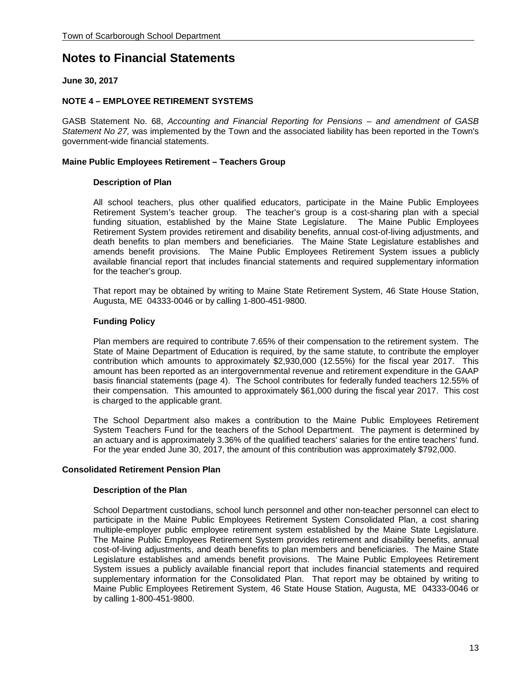## **June 30, 2017**

#### **NOTE 4 – EMPLOYEE RETIREMENT SYSTEMS**

GASB Statement No. 68, *Accounting and Financial Reporting for Pensions – and amendment of GASB Statement No 27,* was implemented by the Town and the associated liability has been reported in the Town's government-wide financial statements.

#### **Maine Public Employees Retirement – Teachers Group**

#### **Description of Plan**

All school teachers, plus other qualified educators, participate in the Maine Public Employees Retirement System's teacher group. The teacher's group is a cost-sharing plan with a special funding situation, established by the Maine State Legislature. The Maine Public Employees Retirement System provides retirement and disability benefits, annual cost-of-living adjustments, and death benefits to plan members and beneficiaries. The Maine State Legislature establishes and amends benefit provisions. The Maine Public Employees Retirement System issues a publicly available financial report that includes financial statements and required supplementary information for the teacher's group.

That report may be obtained by writing to Maine State Retirement System, 46 State House Station, Augusta, ME 04333-0046 or by calling 1-800-451-9800.

### **Funding Policy**

Plan members are required to contribute 7.65% of their compensation to the retirement system. The State of Maine Department of Education is required, by the same statute, to contribute the employer contribution which amounts to approximately \$2,930,000 (12.55%) for the fiscal year 2017. This amount has been reported as an intergovernmental revenue and retirement expenditure in the GAAP basis financial statements (page 4). The School contributes for federally funded teachers 12.55% of their compensation. This amounted to approximately \$61,000 during the fiscal year 2017. This cost is charged to the applicable grant.

The School Department also makes a contribution to the Maine Public Employees Retirement System Teachers Fund for the teachers of the School Department. The payment is determined by an actuary and is approximately 3.36% of the qualified teachers' salaries for the entire teachers' fund. For the year ended June 30, 2017, the amount of this contribution was approximately \$792,000.

#### **Consolidated Retirement Pension Plan**

#### **Description of the Plan**

School Department custodians, school lunch personnel and other non-teacher personnel can elect to participate in the Maine Public Employees Retirement System Consolidated Plan, a cost sharing multiple-employer public employee retirement system established by the Maine State Legislature. The Maine Public Employees Retirement System provides retirement and disability benefits, annual cost-of-living adjustments, and death benefits to plan members and beneficiaries. The Maine State Legislature establishes and amends benefit provisions. The Maine Public Employees Retirement System issues a publicly available financial report that includes financial statements and required supplementary information for the Consolidated Plan. That report may be obtained by writing to Maine Public Employees Retirement System, 46 State House Station, Augusta, ME 04333-0046 or by calling 1-800-451-9800.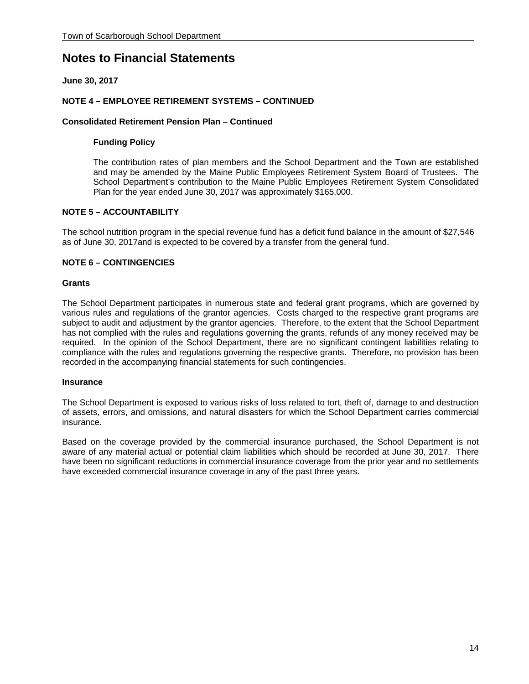**June 30, 2017**

## **NOTE 4 – EMPLOYEE RETIREMENT SYSTEMS – CONTINUED**

### **Consolidated Retirement Pension Plan – Continued**

### **Funding Policy**

The contribution rates of plan members and the School Department and the Town are established and may be amended by the Maine Public Employees Retirement System Board of Trustees. The School Department's contribution to the Maine Public Employees Retirement System Consolidated Plan for the year ended June 30, 2017 was approximately \$165,000.

## **NOTE 5 – ACCOUNTABILITY**

The school nutrition program in the special revenue fund has a deficit fund balance in the amount of \$27,546 as of June 30, 2017and is expected to be covered by a transfer from the general fund.

### **NOTE 6 – CONTINGENCIES**

#### **Grants**

The School Department participates in numerous state and federal grant programs, which are governed by various rules and regulations of the grantor agencies. Costs charged to the respective grant programs are subject to audit and adjustment by the grantor agencies. Therefore, to the extent that the School Department has not complied with the rules and regulations governing the grants, refunds of any money received may be required. In the opinion of the School Department, there are no significant contingent liabilities relating to compliance with the rules and regulations governing the respective grants. Therefore, no provision has been recorded in the accompanying financial statements for such contingencies.

#### **Insurance**

The School Department is exposed to various risks of loss related to tort, theft of, damage to and destruction of assets, errors, and omissions, and natural disasters for which the School Department carries commercial insurance.

Based on the coverage provided by the commercial insurance purchased, the School Department is not aware of any material actual or potential claim liabilities which should be recorded at June 30, 2017. There have been no significant reductions in commercial insurance coverage from the prior year and no settlements have exceeded commercial insurance coverage in any of the past three years.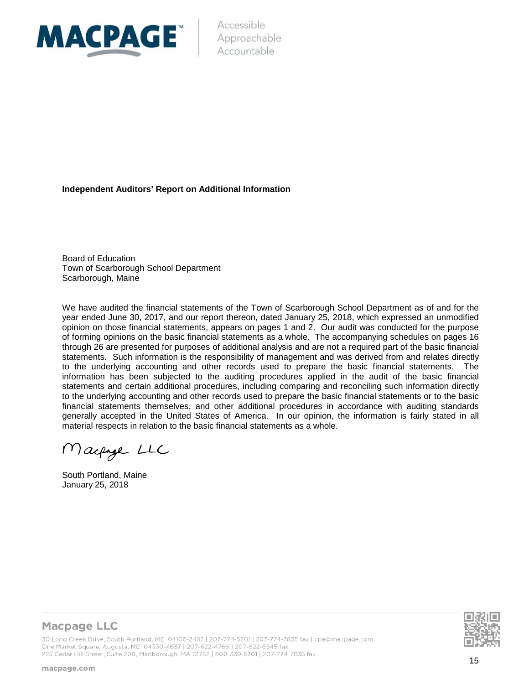

Accessible Approachable<br>Accountable

#### **Independent Auditors' Report on Additional Information**

Board of Education Town of Scarborough School Department Scarborough, Maine

We have audited the financial statements of the Town of Scarborough School Department as of and for the year ended June 30, 2017, and our report thereon, dated January 25, 2018, which expressed an unmodified opinion on those financial statements, appears on pages 1 and 2. Our audit was conducted for the purpose of forming opinions on the basic financial statements as a whole. The accompanying schedules on pages 16 through 26 are presented for purposes of additional analysis and are not a required part of the basic financial statements. Such information is the responsibility of management and was derived from and relates directly to the underlying accounting and other records used to prepare the basic financial statements. The information has been subjected to the auditing procedures applied in the audit of the basic financial statements and certain additional procedures, including comparing and reconciling such information directly to the underlying accounting and other records used to prepare the basic financial statements or to the basic financial statements themselves, and other additional procedures in accordance with auditing standards generally accepted in the United States of America. In our opinion, the information is fairly stated in all material respects in relation to the basic financial statements as a whole.

Macpage LLC

South Portland, Maine January 25, 2018



30 Long Creek Drive, South Portland, ME 04106-2437 | 207-774-5701 | 207-774-7835 fax | cpa@macpage.com One Market Square, Augusta, ME 04330-4637 | 207-622-4766 | 207-622-6545 fax 225 Cedar Hill Street, Suite 200, Marlborough, MA 01752 | 800-339-5701 | 207-774-7835 fax

**Macpage LLC**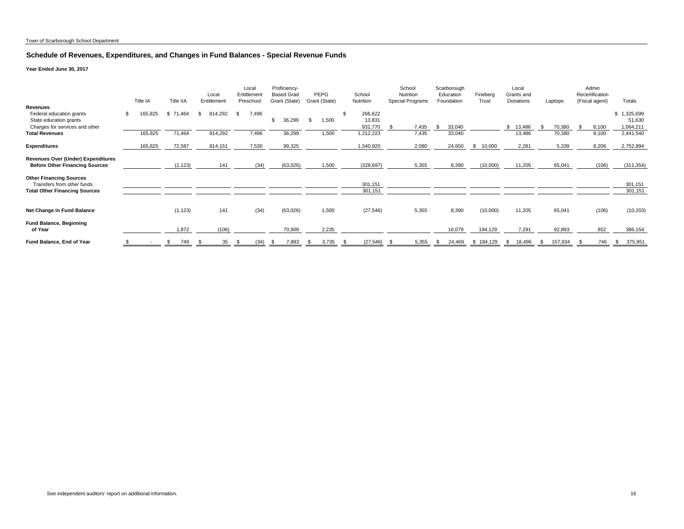#### **Schedule of Revenues, Expenditures, and Changes in Fund Balances - Special Revenue Funds**

|                                                                                                      |  | Title IA | Proficiency-<br>Scarborough<br>School<br>Local<br>Entitlement<br><b>Based Grad</b><br><b>PEPG</b><br>School<br>Nutrition<br>Education<br>Fineberg<br>Local<br>Grant (State)<br>Grant (State)<br>Nutrition<br>Title IIA<br>Entitlement<br>Special Programs<br>Foundation<br>Preschool<br>Trust |            | Local<br>Grants and<br>Donations | Laptops |      | Admin<br>Recertification<br>(Fiscal agent) |     | Totals |      |                      |      |                |      |                  |           |                         |  |                  |  |                |             |                        |
|------------------------------------------------------------------------------------------------------|--|----------|-----------------------------------------------------------------------------------------------------------------------------------------------------------------------------------------------------------------------------------------------------------------------------------------------|------------|----------------------------------|---------|------|--------------------------------------------|-----|--------|------|----------------------|------|----------------|------|------------------|-----------|-------------------------|--|------------------|--|----------------|-------------|------------------------|
| <b>Revenues</b><br>Federal education grants<br>State education grants                                |  | 165,825  | \$ 71,464                                                                                                                                                                                                                                                                                     | 814,292    | - \$                             | 7,496   |      | 36,299                                     | \$. | 1,500  |      | 266,622<br>13,831    |      |                |      |                  |           |                         |  |                  |  |                | \$1,325,699 | 51,630                 |
| Charges for services and other<br><b>Total Revenues</b>                                              |  | 165,825  | 71,464                                                                                                                                                                                                                                                                                        | 814,292    |                                  | 7,496   |      | 36,299                                     |     | 1,500  |      | 931,770<br>1,212,223 |      | 7,435<br>7,435 |      | 33,040<br>33,040 |           | 13,486<br>13,486        |  | 70,380<br>70,380 |  | 8,100<br>8,100 |             | 1,064,211<br>2,441,540 |
| <b>Expenditures</b>                                                                                  |  | 165,825  | 72,587                                                                                                                                                                                                                                                                                        | 814,151    |                                  | 7,530   |      | 99,325                                     |     |        |      | 1,540,920            |      | 2,080          |      | 24,650           | \$10,000  | 2,281                   |  | 5,339            |  | 8,206          |             | 2,752,894              |
| Revenues Over (Under) Expenditures<br><b>Before Other Financing Sources</b>                          |  |          | (1, 123)                                                                                                                                                                                                                                                                                      | 141        |                                  | (34)    |      | (63,026)                                   |     | 1,500  |      | (328, 697)           |      | 5,355          |      | 8,390            | (10,000)  | 11,205                  |  | 65,041           |  | (106)          |             | (311, 354)             |
| <b>Other Financing Sources</b><br>Transfers from other funds<br><b>Total Other Financing Sources</b> |  |          |                                                                                                                                                                                                                                                                                               |            |                                  |         |      |                                            |     |        |      | 301,151<br>301,151   |      |                |      |                  |           |                         |  |                  |  |                |             | 301,151<br>301,151     |
| Net Change in Fund Balance                                                                           |  |          | (1, 123)                                                                                                                                                                                                                                                                                      | 141        |                                  | (34)    |      | (63,026)                                   |     | 1,500  |      | (27, 546)            |      | 5,355          |      | 8,390            | (10,000)  | 11,205                  |  | 65,041           |  | (106)          |             | (10, 203)              |
| <b>Fund Balance, Beginning</b><br>of Year                                                            |  |          | 1,872                                                                                                                                                                                                                                                                                         | (106)      |                                  |         |      | 70,909                                     |     | 2,235  |      |                      |      |                |      | 16,079           | 194,129   | 7,291                   |  | 92,893           |  | 852            |             | 386,154                |
| Fund Balance, End of Year                                                                            |  |          | 749<br>\$                                                                                                                                                                                                                                                                                     | 35<br>- \$ |                                  | (34)    | - \$ | 7,883                                      |     | 3,735  | - \$ | (27, 546)            | - \$ | 5,355          | - 35 | 24,469           | \$184,129 | 18,496<br>$\mathcal{S}$ |  | 157,934          |  | 746            | \$          | 375,951                |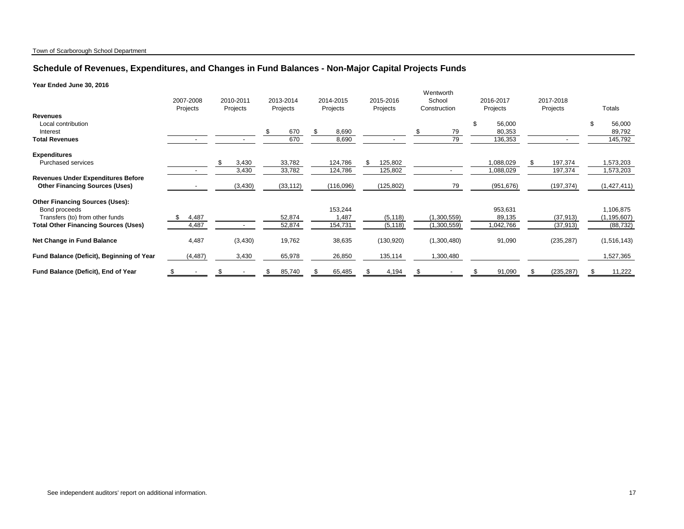# **Schedule of Revenues, Expenditures, and Changes in Fund Balances - Non-Major Capital Projects Funds**

|                                                                                    | 2007-2008<br>Projects | 2010-2011<br>Projects    | 2013-2014<br>Projects | 2014-2015<br>Projects | 2015-2016<br>Projects | Wentworth<br>School<br>Construction | 2016-2017<br>Projects | 2017-2018<br>Projects | <b>Totals</b>     |
|------------------------------------------------------------------------------------|-----------------------|--------------------------|-----------------------|-----------------------|-----------------------|-------------------------------------|-----------------------|-----------------------|-------------------|
| <b>Revenues</b><br>Local contribution                                              |                       |                          |                       |                       |                       |                                     | 56,000                |                       | 56,000            |
| Interest<br><b>Total Revenues</b>                                                  |                       |                          | 670<br>670            | 8,690<br>8,690        |                       | 79<br>79                            | 80,353<br>136,353     |                       | 89,792<br>145,792 |
| <b>Expenditures</b>                                                                |                       |                          |                       |                       |                       |                                     |                       |                       |                   |
| Purchased services                                                                 |                       | \$<br>3,430              | 33,782                | 124,786               | 125,802               |                                     | 1,088,029             | \$<br>197,374         | 1,573,203         |
|                                                                                    |                       | 3,430                    | 33,782                | 124,786               | 125,802               |                                     | 1,088,029             | 197,374               | 1,573,203         |
| <b>Revenues Under Expenditures Before</b><br><b>Other Financing Sources (Uses)</b> |                       | (3, 430)                 | (33, 112)             | (116,096)             | (125, 802)            | 79                                  | (951, 676)            | (197, 374)            | (1, 427, 411)     |
| <b>Other Financing Sources (Uses):</b><br>Bond proceeds                            |                       |                          |                       | 153,244               |                       |                                     | 953,631               |                       | 1,106,875         |
| Transfers (to) from other funds                                                    | 4,487                 |                          | 52,874                | 1,487                 | (5, 118)              | (1,300,559)                         | 89,135                | (37, 913)             | (1, 195, 607)     |
| <b>Total Other Financing Sources (Uses)</b>                                        | 4,487                 | $\overline{\phantom{a}}$ | 52,874                | 154,731               | (5, 118)              | (1,300,559)                         | 1,042,766             | (37, 913)             | (88, 732)         |
| Net Change in Fund Balance                                                         | 4,487                 | (3, 430)                 | 19,762                | 38,635                | (130, 920)            | (1,300,480)                         | 91,090                | (235, 287)            | (1,516,143)       |
| Fund Balance (Deficit), Beginning of Year                                          | (4, 487)              | 3,430                    | 65,978                | 26,850                | 135,114               | 1,300,480                           |                       |                       | 1,527,365         |
| Fund Balance (Deficit), End of Year                                                |                       |                          | \$<br>85,740          | 65,485                | 4,194                 | \$                                  | 91,090                | (235, 287)            | \$<br>11,222      |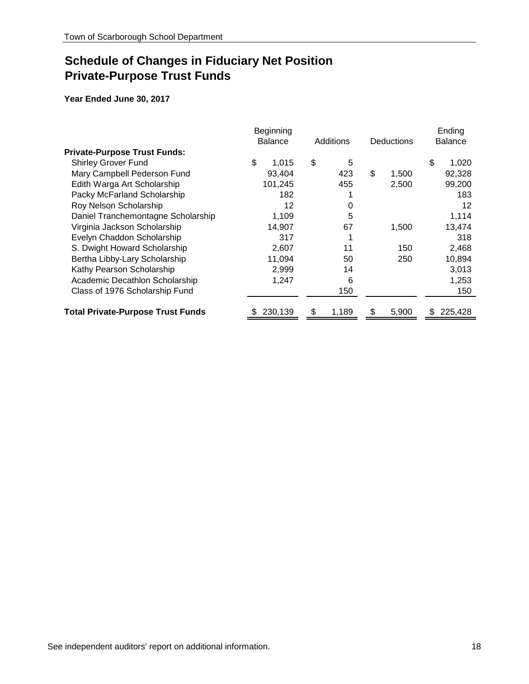# **Schedule of Changes in Fiduciary Net Position Private-Purpose Trust Funds**

|                                          | Beginning      |             |             |                | Ending  |  |  |
|------------------------------------------|----------------|-------------|-------------|----------------|---------|--|--|
|                                          | <b>Balance</b> | Additions   | Deductions  | <b>Balance</b> |         |  |  |
| <b>Private-Purpose Trust Funds:</b>      |                |             |             |                |         |  |  |
| <b>Shirley Grover Fund</b>               | \$<br>1,015    | \$<br>5     |             | \$             | 1,020   |  |  |
| Mary Campbell Pederson Fund              | 93,404         | 423         | \$<br>1,500 |                | 92,328  |  |  |
| Edith Warga Art Scholarship              | 101,245        | 455         | 2,500       |                | 99,200  |  |  |
| Packy McFarland Scholarship              | 182            |             |             |                | 183     |  |  |
| Roy Nelson Scholarship                   | 12             | 0           |             |                | 12      |  |  |
| Daniel Tranchemontagne Scholarship       | 1.109          | 5           |             |                | 1,114   |  |  |
| Virginia Jackson Scholarship             | 14,907         | 67          | 1,500       |                | 13,474  |  |  |
| Evelyn Chaddon Scholarship               | 317            |             |             |                | 318     |  |  |
| S. Dwight Howard Scholarship             | 2,607          | 11          | 150         |                | 2,468   |  |  |
| Bertha Libby-Lary Scholarship            | 11,094         | 50          | 250         |                | 10,894  |  |  |
| Kathy Pearson Scholarship                | 2,999          | 14          |             |                | 3,013   |  |  |
| Academic Decathlon Scholarship           | 1,247          | 6           |             |                | 1,253   |  |  |
| Class of 1976 Scholarship Fund           |                | 150         |             |                | 150     |  |  |
| <b>Total Private-Purpose Trust Funds</b> | 230,139        | \$<br>1,189 | 5,900       | S.             | 225,428 |  |  |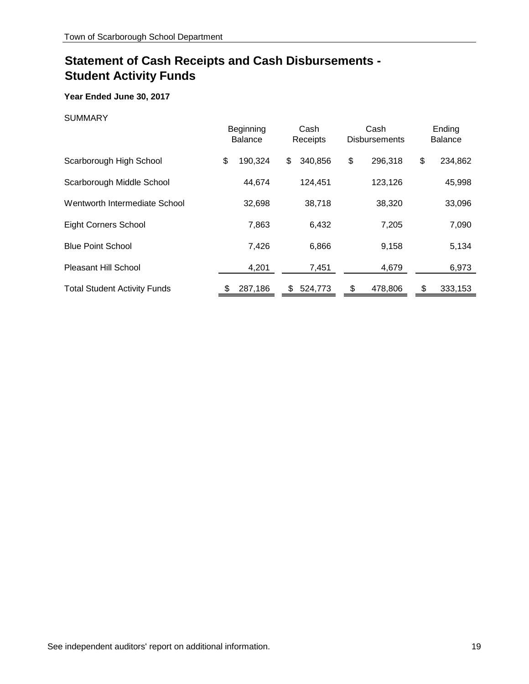# **Year Ended June 30, 2017**

## SUMMARY

|                                     | Beginning<br><b>Balance</b> | Cash<br>Receipts | Cash<br><b>Disbursements</b> | Ending<br><b>Balance</b> |
|-------------------------------------|-----------------------------|------------------|------------------------------|--------------------------|
| Scarborough High School             | \$<br>190,324               | \$<br>340,856    | \$<br>296,318                | \$<br>234,862            |
| Scarborough Middle School           | 44,674                      | 124,451          | 123,126                      | 45,998                   |
| Wentworth Intermediate School       | 32,698                      | 38,718           | 38,320                       | 33,096                   |
| <b>Eight Corners School</b>         | 7,863                       | 6,432            | 7,205                        | 7,090                    |
| <b>Blue Point School</b>            | 7,426                       | 6,866            | 9,158                        | 5,134                    |
| Pleasant Hill School                | 4,201                       | 7,451            | 4,679                        | 6,973                    |
| <b>Total Student Activity Funds</b> | 287,186                     | \$<br>524,773    | \$<br>478,806                | \$<br>333,153            |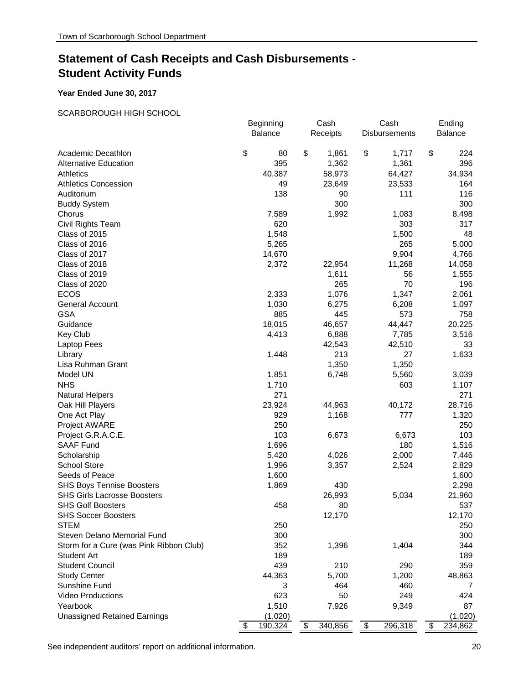### **Year Ended June 30, 2017**

#### SCARBOROUGH HIGH SCHOOL

|                                         | Beginning     | Cash          | Cash          | Ending         |  |
|-----------------------------------------|---------------|---------------|---------------|----------------|--|
|                                         | Balance       | Receipts      | Disbursements | <b>Balance</b> |  |
|                                         |               |               |               |                |  |
| Academic Decathlon                      | \$<br>80      | \$<br>1,861   | \$<br>1,717   | \$<br>224      |  |
| <b>Alternative Education</b>            | 395           | 1,362         | 1,361         | 396            |  |
| <b>Athletics</b>                        | 40,387        | 58,973        | 64,427        | 34,934         |  |
| <b>Athletics Concession</b>             | 49            | 23,649        | 23,533        | 164            |  |
| Auditorium                              | 138           | 90            | 111           | 116            |  |
| <b>Buddy System</b>                     |               | 300           |               | 300            |  |
| Chorus                                  | 7,589         | 1,992         | 1,083         | 8,498          |  |
| Civil Rights Team                       | 620           |               | 303           | 317            |  |
| Class of 2015                           | 1,548         |               | 1,500         | 48             |  |
| Class of 2016                           | 5,265         |               | 265           | 5,000          |  |
| Class of 2017                           | 14,670        |               | 9,904         | 4,766          |  |
| Class of 2018                           | 2,372         | 22,954        | 11,268        | 14,058         |  |
| Class of 2019                           |               | 1,611         | 56            | 1,555          |  |
| Class of 2020                           |               | 265           | 70            | 196            |  |
| <b>ECOS</b>                             | 2,333         | 1,076         | 1,347         | 2,061          |  |
| General Account                         | 1,030         | 6,275         | 6,208         | 1,097          |  |
| <b>GSA</b>                              | 885           | 445           | 573           | 758            |  |
| Guidance                                | 18,015        | 46,657        | 44,447        | 20,225         |  |
| Key Club                                | 4,413         | 6,888         | 7,785         | 3,516          |  |
| Laptop Fees                             |               | 42,543        | 42,510        | 33             |  |
| Library                                 | 1,448         | 213           | 27            | 1,633          |  |
| Lisa Ruhman Grant                       |               | 1,350         | 1,350         |                |  |
| Model UN                                | 1,851         | 6,748         | 5,560         | 3,039          |  |
| <b>NHS</b>                              | 1,710         |               | 603           | 1,107          |  |
| <b>Natural Helpers</b>                  | 271           |               |               | 271            |  |
| Oak Hill Players                        | 23,924        | 44,963        | 40,172        | 28,716         |  |
| One Act Play                            | 929           | 1,168         | 777           | 1,320          |  |
| Project AWARE                           | 250           |               |               | 250            |  |
| Project G.R.A.C.E.                      | 103           | 6,673         | 6,673         | 103            |  |
| <b>SAAF Fund</b>                        | 1,696         |               | 180           | 1,516          |  |
| Scholarship                             | 5,420         | 4,026         | 2,000         | 7,446          |  |
| <b>School Store</b>                     | 1,996         | 3,357         | 2,524         | 2,829          |  |
| Seeds of Peace                          | 1,600         |               |               | 1,600          |  |
| <b>SHS Boys Tennise Boosters</b>        | 1,869         | 430           |               | 2,298          |  |
| <b>SHS Girls Lacrosse Boosters</b>      |               | 26,993        | 5,034         | 21,960         |  |
| <b>SHS Golf Boosters</b>                | 458           | 80            |               | 537            |  |
| <b>SHS Soccer Boosters</b>              |               | 12,170        |               | 12,170         |  |
| <b>STEM</b>                             | 250           |               |               | 250            |  |
| Steven Delano Memorial Fund             | 300           |               |               | 300            |  |
| Storm for a Cure (was Pink Ribbon Club) | 352           | 1,396         | 1,404         | 344            |  |
| <b>Student Art</b>                      | 189           |               |               | 189            |  |
|                                         |               |               |               |                |  |
| <b>Student Council</b>                  | 439           | 210           | 290           | 359            |  |
| <b>Study Center</b>                     | 44,363        | 5,700         | 1,200         | 48,863         |  |
| Sunshine Fund                           | 3             | 464           | 460           | 7              |  |
| <b>Video Productions</b>                | 623           | 50            | 249           | 424            |  |
| Yearbook                                | 1,510         | 7,926         | 9,349         | 87             |  |
| <b>Unassigned Retained Earnings</b>     | (1,020)       |               |               | (1,020)        |  |
|                                         | \$<br>190,324 | 340,856<br>\$ | \$<br>296,318 | \$<br>234,862  |  |

See independent auditors' report on additional information. **20** 20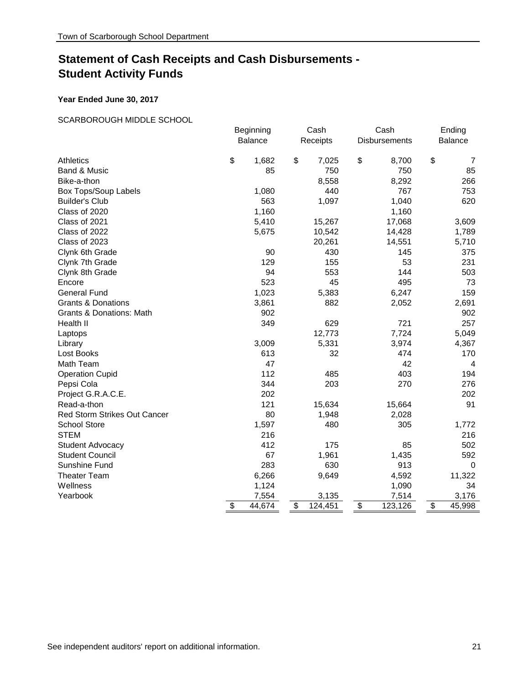### **Year Ended June 30, 2017**

## SCARBOROUGH MIDDLE SCHOOL

|                                     | Cash<br>Beginning |    |          | Cash                     |         | Ending |                |  |
|-------------------------------------|-------------------|----|----------|--------------------------|---------|--------|----------------|--|
|                                     | <b>Balance</b>    |    | Receipts | <b>Disbursements</b>     |         |        | <b>Balance</b> |  |
| <b>Athletics</b>                    | \$<br>1,682       | \$ | 7,025    | \$                       | 8,700   | \$     | $\overline{7}$ |  |
| Band & Music                        | 85                |    | 750      |                          | 750     |        | 85             |  |
| Bike-a-thon                         |                   |    | 8,558    |                          | 8,292   |        | 266            |  |
| <b>Box Tops/Soup Labels</b>         | 1,080             |    | 440      |                          | 767     |        | 753            |  |
| <b>Builder's Club</b>               | 563               |    | 1,097    |                          | 1,040   |        | 620            |  |
| Class of 2020                       | 1,160             |    |          |                          | 1,160   |        |                |  |
| Class of 2021                       | 5,410             |    | 15,267   |                          | 17,068  |        | 3,609          |  |
| Class of 2022                       | 5,675             |    | 10,542   |                          | 14,428  |        | 1,789          |  |
| Class of 2023                       |                   |    | 20,261   |                          | 14,551  |        | 5,710          |  |
| Clynk 6th Grade                     | 90                |    | 430      |                          | 145     |        | 375            |  |
| Clynk 7th Grade                     | 129               |    | 155      |                          | 53      |        | 231            |  |
| Clynk 8th Grade                     | 94                |    | 553      |                          | 144     |        | 503            |  |
| Encore                              | 523               |    | 45       |                          | 495     |        | 73             |  |
| <b>General Fund</b>                 | 1,023             |    | 5,383    |                          | 6,247   |        | 159            |  |
| <b>Grants &amp; Donations</b>       | 3,861             |    | 882      |                          | 2,052   |        | 2,691          |  |
| <b>Grants &amp; Donations: Math</b> | 902               |    |          |                          |         |        | 902            |  |
| Health II                           | 349               |    | 629      |                          | 721     |        | 257            |  |
| Laptops                             |                   |    | 12,773   |                          | 7,724   |        | 5,049          |  |
| Library                             | 3,009             |    | 5,331    |                          | 3,974   |        | 4,367          |  |
| Lost Books                          | 613               |    | 32       |                          | 474     |        | 170            |  |
| Math Team                           | 47                |    |          |                          | 42      |        | 4              |  |
| <b>Operation Cupid</b>              | 112               |    | 485      |                          | 403     |        | 194            |  |
| Pepsi Cola                          | 344               |    | 203      |                          | 270     |        | 276            |  |
| Project G.R.A.C.E.                  | 202               |    |          |                          |         |        | 202            |  |
| Read-a-thon                         | 121               |    | 15,634   |                          | 15,664  |        | 91             |  |
| Red Storm Strikes Out Cancer        | 80                |    | 1,948    |                          | 2,028   |        |                |  |
| <b>School Store</b>                 | 1,597             |    | 480      |                          | 305     |        | 1,772          |  |
| <b>STEM</b>                         | 216               |    |          |                          |         |        | 216            |  |
| <b>Student Advocacy</b>             | 412               |    | 175      |                          | 85      |        | 502            |  |
| <b>Student Council</b>              | 67                |    | 1,961    |                          | 1,435   |        | 592            |  |
| Sunshine Fund                       | 283               |    | 630      |                          | 913     |        | $\mathbf 0$    |  |
| <b>Theater Team</b>                 | 6,266             |    | 9,649    |                          | 4,592   |        | 11,322         |  |
| Wellness                            | 1,124             |    |          |                          | 1,090   |        | 34             |  |
| Yearbook                            | 7,554             |    | 3,135    |                          | 7,514   |        | 3,176          |  |
|                                     | \$<br>44,674      | \$ | 124,451  | $\overline{\mathcal{E}}$ | 123,126 | \$     | 45,998         |  |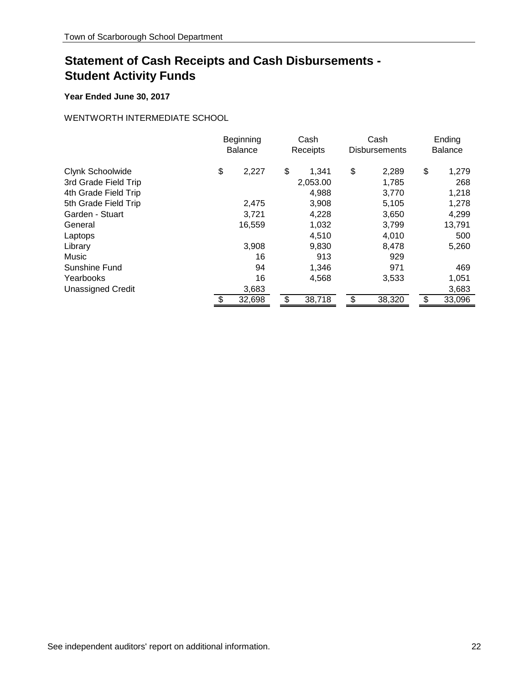# **Year Ended June 30, 2017**

## WENTWORTH INTERMEDIATE SCHOOL

|                          | Beginning<br><b>Balance</b> | Cash<br>Receipts |          | Cash<br><b>Disbursements</b> |        | Ending<br><b>Balance</b> |        |
|--------------------------|-----------------------------|------------------|----------|------------------------------|--------|--------------------------|--------|
| Clynk Schoolwide         | \$<br>2,227                 | \$               | 1,341    | \$                           | 2,289  | \$                       | 1,279  |
| 3rd Grade Field Trip     |                             |                  | 2,053.00 |                              | 1,785  |                          | 268    |
| 4th Grade Field Trip     |                             |                  | 4,988    |                              | 3,770  |                          | 1,218  |
| 5th Grade Field Trip     | 2,475                       |                  | 3,908    |                              | 5,105  |                          | 1,278  |
| Garden - Stuart          | 3,721                       |                  | 4,228    |                              | 3,650  |                          | 4,299  |
| General                  | 16,559                      |                  | 1,032    |                              | 3,799  |                          | 13,791 |
| Laptops                  |                             |                  | 4,510    |                              | 4,010  |                          | 500    |
| Library                  | 3,908                       |                  | 9,830    |                              | 8,478  |                          | 5,260  |
| Music                    | 16                          |                  | 913      |                              | 929    |                          |        |
| Sunshine Fund            | 94                          |                  | 1,346    |                              | 971    |                          | 469    |
| Yearbooks                | 16                          |                  | 4,568    |                              | 3,533  |                          | 1,051  |
| <b>Unassigned Credit</b> | 3,683                       |                  |          |                              |        |                          | 3,683  |
|                          | \$<br>32,698                | \$               | 38,718   | \$                           | 38,320 |                          | 33,096 |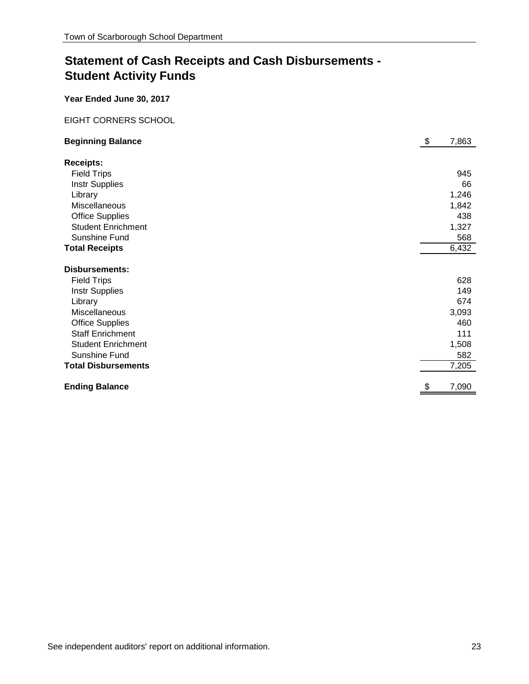**Year Ended June 30, 2017**

# EIGHT CORNERS SCHOOL

| <b>Beginning Balance</b>   | \$<br>7,863 |
|----------------------------|-------------|
| <b>Receipts:</b>           |             |
| <b>Field Trips</b>         | 945         |
| <b>Instr Supplies</b>      | 66          |
| Library                    | 1,246       |
| Miscellaneous              | 1,842       |
| <b>Office Supplies</b>     | 438         |
| <b>Student Enrichment</b>  | 1,327       |
| Sunshine Fund              | 568         |
| <b>Total Receipts</b>      | 6,432       |
| <b>Disbursements:</b>      |             |
| <b>Field Trips</b>         | 628         |
| <b>Instr Supplies</b>      | 149         |
| Library                    | 674         |
| Miscellaneous              | 3,093       |
| <b>Office Supplies</b>     | 460         |
| <b>Staff Enrichment</b>    | 111         |
| <b>Student Enrichment</b>  | 1,508       |
| Sunshine Fund              | 582         |
| <b>Total Disbursements</b> | 7,205       |
| <b>Ending Balance</b>      | \$<br>7,090 |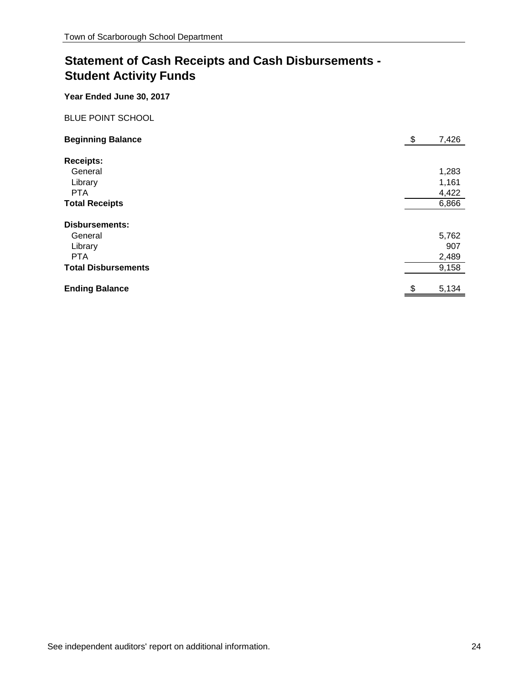**Year Ended June 30, 2017**

# BLUE POINT SCHOOL

| <b>Beginning Balance</b>   | \$<br>7,426 |
|----------------------------|-------------|
| <b>Receipts:</b>           |             |
| General                    | 1,283       |
| Library                    | 1,161       |
| <b>PTA</b>                 | 4,422       |
| <b>Total Receipts</b>      | 6,866       |
| <b>Disbursements:</b>      |             |
| General                    | 5,762       |
| Library                    | 907         |
| <b>PTA</b>                 | 2,489       |
| <b>Total Disbursements</b> | 9,158       |
| <b>Ending Balance</b>      | \$<br>5,134 |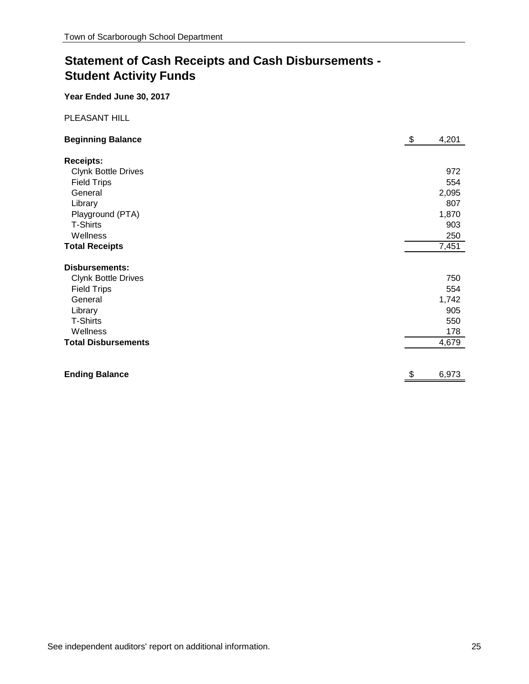**Year Ended June 30, 2017**

PLEASANT HILL

| <b>Beginning Balance</b>   | \$<br>4,201 |
|----------------------------|-------------|
| <b>Receipts:</b>           |             |
| <b>Clynk Bottle Drives</b> | 972         |
| <b>Field Trips</b>         | 554         |
| General                    | 2,095       |
| Library                    | 807         |
| Playground (PTA)           | 1,870       |
| <b>T-Shirts</b>            | 903         |
| Wellness                   | 250         |
| <b>Total Receipts</b>      | 7,451       |
| <b>Disbursements:</b>      |             |
| <b>Clynk Bottle Drives</b> | 750         |
| <b>Field Trips</b>         | 554         |
| General                    | 1,742       |
| Library                    | 905         |
| <b>T-Shirts</b>            | 550         |
| Wellness                   | 178         |
| <b>Total Disbursements</b> | 4,679       |
|                            |             |
| <b>Ending Balance</b>      | \$<br>6,973 |